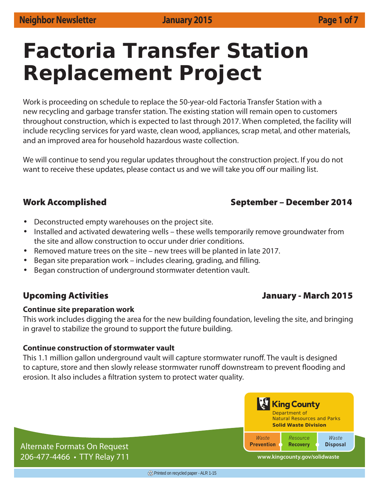# **Factoria Transfer Station Replacement Project**

Work is proceeding on schedule to replace the 50-year-old Factoria Transfer Station with a new recycling and garbage transfer station. The existing station will remain open to customers throughout construction, which is expected to last through 2017. When completed, the facility will include recycling services for yard waste, clean wood, appliances, scrap metal, and other materials, and an improved area for household hazardous waste collection.

We will continue to send you regular updates throughout the construction project. If you do not want to receive these updates, please contact us and we will take you off our mailing list.

# **Work Accomplished September – December 2014**

- Deconstructed empty warehouses on the project site.
- Installed and activated dewatering wells these wells temporarily remove groundwater from the site and allow construction to occur under drier conditions.
- Removed mature trees on the site new trees will be planted in late 2017.
- Began site preparation work includes clearing, grading, and filling.
- Began construction of underground stormwater detention vault.

# **Upcoming Activities January - March 2015**

### **Continue site preparation work**

This work includes digging the area for the new building foundation, leveling the site, and bringing in gravel to stabilize the ground to support the future building.

### **Continue construction of stormwater vault**

This 1.1 million gallon underground vault will capture stormwater runoff. The vault is designed to capture, store and then slowly release stormwater runoff downstream to prevent flooding and erosion. It also includes a filtration system to protect water quality.



Alternate Formats On Request 206-477-4466 • TTY Relay 711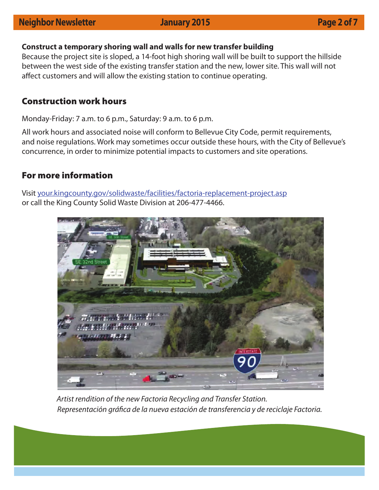# **Neighbor Newsletter Manuary 2015 Page 2 of 7**

### **Construct a temporary shoring wall and walls for new transfer building**

Because the project site is sloped, a 14-foot high shoring wall will be built to support the hillside between the west side of the existing transfer station and the new, lower site. This wall will not affect customers and will allow the existing station to continue operating.

## **Construction work hours**

Monday-Friday: 7 a.m. to 6 p.m., Saturday: 9 a.m. to 6 p.m.

All work hours and associated noise will conform to Bellevue City Code, permit requirements, and noise regulations. Work may sometimes occur outside these hours, with the City of Bellevue's concurrence, in order to minimize potential impacts to customers and site operations.

## **For more information**

Visit your.kingcounty.gov/solidwaste/facilities/factoria-replacement-project.asp or call the King County Solid Waste Division at 206-477-4466.



Artist rendition of the new Factoria Recycling and Transfer Station. Representación gráfica de la nueva estación de transferencia y de reciclaje Factoria.

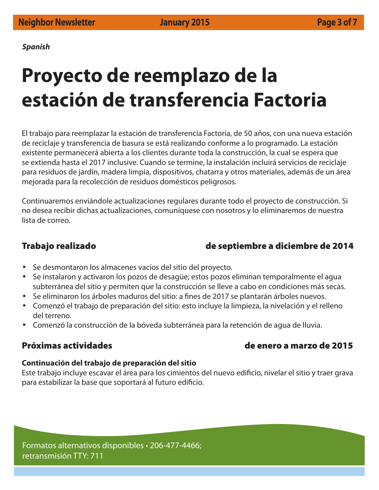*Spanish*

# **Proyecto de reemplazo de la estación de transferencia Factoria**

El trabajo para reemplazar la estación de transferencia Factoria, de 50 años, con una nueva estación de reciclaje y transferencia de basura se está realizando conforme a lo programado. La estación existente permanecerá abierta a los clientes durante toda la construcción, la cual se espera que se extienda hasta el 2017 inclusive. Cuando se termine, la instalación incluirá servicios de reciclaje para residuos de jardín, madera limpia, dispositivos, chatarra y otros materiales, además de un área mejorada para la recolección de residuos domésticos peligrosos.

Continuaremos enviándole actualizaciones regulares durante todo el proyecto de construcción. Si no desea recibir dichas actualizaciones, comuníquese con nosotros y lo eliminaremos de nuestra lista de correo.

# **Trabajo realizado de septiembre a diciembre de 2014**

- Se desmontaron los almacenes vacíos del sitio del proyecto.
- Se instalaron y activaron los pozos de desagüe; estos pozos eliminan temporalmente el agua subterránea del sitio y permiten que la construcción se lleve a cabo en condiciones más secas.
- Se eliminaron los árboles maduros del sitio: a fines de 2017 se plantarán árboles nuevos.
- Comenzó el trabajo de preparación del sitio: esto incluye la limpieza, la nivelación y el relleno del terreno.
- Comenzó la construcción de la bóveda subterránea para la retención de agua de lluvia.

# **Próximas actividades de enero a marzo de 2015**

### **Continuación del trabajo de preparación del sitio**

Este trabajo incluye escavar el área para los cimientos del nuevo edificio, nivelar el sitio y traer grava para estabilizar la base que soportará al futuro edificio.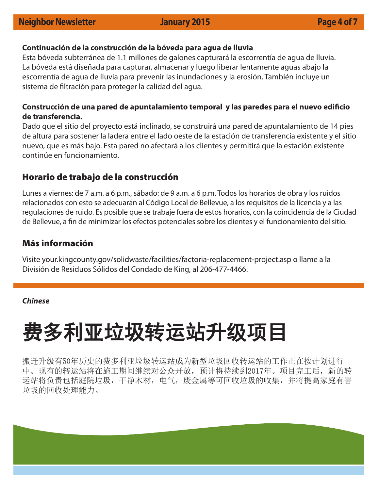### **Continuación de la construcción de la bóveda para agua de lluvia**

Esta bóveda subterránea de 1.1 millones de galones capturará la escorrentía de agua de lluvia. La bóveda está diseñada para capturar, almacenar y luego liberar lentamente aguas abajo la escorrentía de agua de lluvia para prevenir las inundaciones y la erosión. También incluye un sistema de filtración para proteger la calidad del agua.

### Construcción de una pared de apuntalamiento temporal y las paredes para el nuevo edificio **de transferencia.**

Dado que el sitio del proyecto está inclinado, se construirá una pared de apuntalamiento de 14 pies de altura para sostener la ladera entre el lado oeste de la estación de transferencia existente y el sitio nuevo, que es más bajo. Esta pared no afectará a los clientes y permitirá que la estación existente continúe en funcionamiento.

### **Horario de trabajo de la construcción**

Lunes a viernes: de 7 a.m. a 6 p.m., sábado: de 9 a.m. a 6 p.m. Todos los horarios de obra y los ruidos relacionados con esto se adecuarán al Código Local de Bellevue, a los requisitos de la licencia y a las regulaciones de ruido. Es posible que se trabaje fuera de estos horarios, con la coincidencia de la Ciudad de Bellevue, a fin de minimizar los efectos potenciales sobre los clientes y el funcionamiento del sitio.

### **Más información**

Visite your.kingcounty.gov/solidwaste/facilities/factoria-replacement-project.asp o llame a la División de Residuos Sólidos del Condado de King, al 206-477-4466.

### *Chinese*

# 费多利亚垃圾转运站升级项目

搬迁升级有50年历史的费多利亚垃圾转运站成为新型垃圾回收转运站的工作正在按计划进行 中。现有的转运站将在施工期间继续对公众开放,预计将持续到2017年。项目完工后,新的转 运站将负责包括庭院垃圾,干净木材,电气,废金属等可回收垃圾的收集,并将提高家庭有害 垃圾的回收处理能力。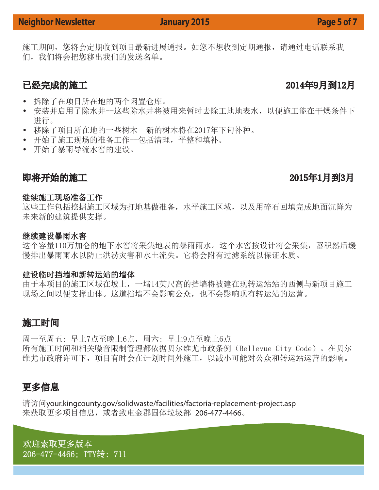# **Neighbor Newsletter Manuary 2015 Page 5 of 7**

施工期间,您将会定期收到项目最新进展通报。如您不想收到定期通报,请通过电话联系我 们,我们将会把您移出我们的发送名单。

- 拆除了在项目所在地的两个闲置仓库。
- 安装并启用了除水井--这些除水井将被用来暂时去除工地地表水,以便施工能在干燥条件下 进行。
- 移除了项目所在地的一些树木--新的树木将在2017年下旬补种。
- 开始了施工现场的准备工作--包括清理,平整和填补。
- 开始了暴雨导流水窖的建设。

# 即将开始的施工 2015年1月到3月

### 继续施工现场准备工作

这些工作包括挖掘施工区域为打地基做准备,水平施工区域,以及用碎石回填完成地面沉降为 未来新的建筑提供支撑。

### 继续建设暴雨水窖

这个容量110万加仑的地下水窖将采集地表的暴雨雨水。这个水窖按设计将会采集,蓄积然后缓 慢排出暴雨雨水以防止洪涝灾害和水土流失。它将会附有过滤系统以保证水质。

### 建设临时挡墙和新转运站的墙体

由于本项目的施工区域在坡上,一堵14英尺高的挡墙将被建在现转运站站的西侧与新项目施工 现场之间以便支撑山体。这道挡墙不会影响公众,也不会影响现有转运站的运营。

# 施工时间

周一至周五: 早上7点至晚上6点,周六: 早上9点至晚上6点 所有施工时间和相关噪音限制管理都依据贝尔维尤市政条例(Bellevue City Code)。在贝尔 维尤市政府许可下,项目有时会在计划时间外施工,以减小可能对公众和转运站运营的影响。

# 更多信息

请访问your.kingcounty.gov/solidwaste/facilities/factoria-replacement-project.asp 来获取更多项目信息,或者致电金郡固体垃圾部 206-477-4466。

欢迎索取更多版本 206-477-4466; TTY转: 711

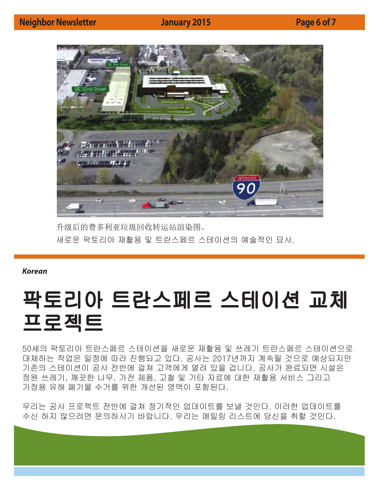

升级后的费多利亚垃圾回收转运站渲染图。 새로운 팍토리아 재활용 및 트란스페르 스테이션의 예술적인 묘사.

*Korean*

# 팍토리아 트란스페르 스테이션 교체 프로젝트

50세의 팍토리아 트란스페르 스테이션을 새로운 재활용 및 쓰레기 트란스페르 스테이션으로 대체하는 작업은 일정에 따라 진행되고 있다. 공사는 2017년까지 계속될 것으로 예상되지만 기존의 스테이션이 공사 전반에 걸쳐 고객에게 열려 있을 겁니다. 공사가 완료되면 시설은 정원 쓰레기, 깨끗한 나무, 가전 제품, 고철 및 기타 자료에 대한 재활용 서비스 그리고 가정용 유해 폐기물 수거를 위한 개선된 영역이 포함된다.

우리는 공사 프로젝트 전반에 걸쳐 정기적인 업데이트를 보낼 것인다. 이러한 업데이트를 수신 하지 않으려면 문의하시기 바랍니다. 우리는 메일링 리스트에 당신을 취할 것인다.